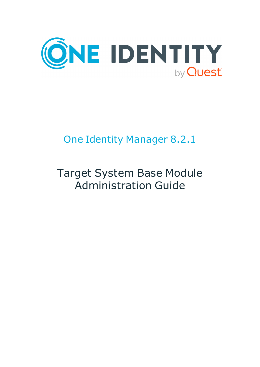

# One Identity Manager 8.2.1

# Target System Base Module Administration Guide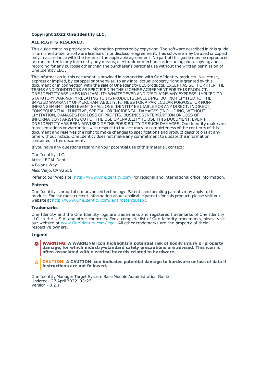#### **Copyright 2022 One Identity LLC.**

#### **ALL RIGHTS RESERVED.**

This guide contains proprietary information protected by copyright. The software described in this guide is furnished under a software license or nondisclosure agreement. This software may be used or copied only in accordance with the terms of the applicable agreement. No part of this guide may be reproduced or transmitted in any form or by any means, electronic or mechanical, including photocopying and recording for any purpose other than the purchaser's personal use without the written permission of One Identity LLC .

The information in this document is provided in connection with One Identity products. No license, express or implied, by estoppel or otherwise, to any intellectual property right is granted by this document or in connection with the sale of One Identity LLC products. EXCEPT AS SET FORTH IN THE TERMS AND CONDITIONS AS SPECIFIED IN THE LICENSE AGREEMENT FOR THIS PRODUCT, ONE IDENTITY ASSUMES NO LIABILITY WHATSOEVER AND DISCLAIMS ANY EXPRESS, IMPLIED OR STATUTORY WARRANTY RELATING TO ITS PRODUCTS INCLUDING, BUT NOT LIMITED TO, THE IMPLIED WARRANTY OF MERCHANTABILITY, FITNESS FOR A PARTICULAR PURPOSE, OR NON-INFRINGEMENT. IN NO EVENT SHALL ONE IDENTITY BE LIABLE FOR ANY DIRECT, INDIRECT, CONSEQUENTIAL, PUNITIVE, SPECIAL OR INCIDENTAL DAMAGES (INCLUDING, WITHOUT LIMITATION, DAMAGES FOR LOSS OF PROFITS, BUSINESS INTERRUPTION OR LOSS OF INFORMATION) ARISING OUT OF THE USE OR INABILITY TO USE THIS DOCUMENT, EVEN IF ONE IDENTITY HAS BEEN ADVISED OF THE POSSIBILITY OF SUCH DAMAGES. One Identity makes no representations or warranties with respect to the accuracy or completeness of the contents of this document and reserves the right to make changes to specifications and product descriptions at any time without notice. One Identity does not make any commitment to update the information contained in this document.

If you have any questions regarding your potential use of this material, contact:

One Identity LLC. Attn: LEGAL Dept 4 Polaris Way Aliso Viejo, CA 92656

Refer to our Web site ([http://www.OneIdentity.com](http://www.oneidentity.com/)) for regional and international office information.

#### **Patents**

One Identity is proud of our advanced technology. Patents and pending patents may apply to this product. For the most current information about applicable patents for this product, please visit our website at [http://www.OneIdentity.com/legal/patents.aspx](http://www.oneidentity.com/legal/patents.aspx).

#### **Trademarks**

One Identity and the One Identity logo are trademarks and registered trademarks of One Identity LLC. in the U.S.A. and other countries. For a complete list of One Identity trademarks, please visit our website at [www.OneIdentity.com/legal](http://www.oneidentity.com/legal). All other trademarks are the property of their respective owners.

#### **Legend**

**WARNING: A WARNING icon highlights a potential risk of bodily injury or property damage, for which industry-standard safety precautions are advised. This icon is often associated with electrical hazards related to hardware.**

**CAUTION: A CAUTION icon indicates potential damage to hardware or loss of data if** A **instructions are not followed.**

One Identity Manager Target System Base Module Administration Guide Updated - 27 April 2022, 03:23 Version - 8.2.1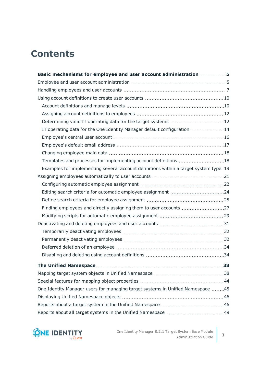## **Contents**

| Basic mechanisms for employee and user account administration  5                     |    |
|--------------------------------------------------------------------------------------|----|
|                                                                                      |    |
|                                                                                      |    |
|                                                                                      |    |
|                                                                                      |    |
|                                                                                      |    |
|                                                                                      |    |
| IT operating data for the One Identity Manager default configuration 14              |    |
|                                                                                      |    |
|                                                                                      |    |
|                                                                                      |    |
| Templates and processes for implementing account definitions 18                      |    |
| Examples for implementing several account definitions within a target system type 19 |    |
|                                                                                      |    |
|                                                                                      |    |
|                                                                                      |    |
|                                                                                      |    |
| Finding employees and directly assigning them to user accounts 27                    |    |
|                                                                                      |    |
|                                                                                      |    |
|                                                                                      |    |
|                                                                                      |    |
|                                                                                      |    |
|                                                                                      |    |
| <b>The Unified Namespace</b>                                                         | 38 |
|                                                                                      |    |
|                                                                                      |    |
| One Identity Manager users for managing target systems in Unified Namespace 45       |    |
|                                                                                      |    |
|                                                                                      |    |
|                                                                                      |    |

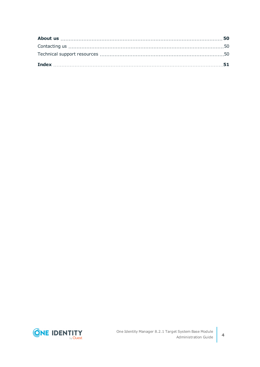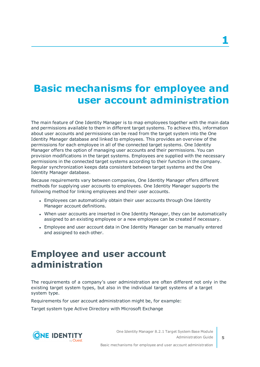# <span id="page-4-0"></span>**Basic mechanisms for employee and user account administration**

The main feature of One Identity Manager is to map employees together with the main data and permissions available to them in different target systems. To achieve this, information about user accounts and permissions can be read from the target system into the One Identity Manager database and linked to employees. This provides an overview of the permissions for each employee in all of the connected target systems. One Identity Manager offers the option of managing user accounts and their permissions. You can provision modifications in the target systems. Employees are supplied with the necessary permissions in the connected target systems according to their function in the company. Regular synchronization keeps data consistent between target systems and the One Identity Manager database.

Because requirements vary between companies, One Identity Manager offers different methods for supplying user accounts to employees. One Identity Manager supports the following method for linking employees and their user accounts.

- Employees can automatically obtain their user accounts through One Identity Manager account definitions.
- When user accounts are inserted in One Identity Manager, they can be automatically assigned to an existing employee or a new employee can be created if necessary.
- Employee and user account data in One Identity Manager can be manually entered and assigned to each other.

## <span id="page-4-1"></span>**Employee and user account administration**

The requirements of a company's user administration are often different not only in the existing target system types, but also in the individual target systems of a target system type.

Requirements for user account administration might be, for example:

Target system type Active Directory with Microsoft Exchange

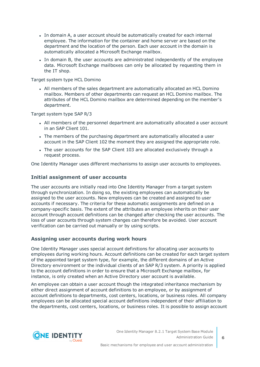- In domain A, a user account should be automatically created for each internal employee. The information for the container and home server are based on the department and the location of the person. Each user account in the domain is automatically allocated a Microsoft Exchange mailbox.
- In domain B, the user accounts are administrated independently of the employee data. Microsoft Exchange mailboxes can only be allocated by requesting them in the IT shop.

Target system type HCL Domino

• All members of the sales department are automatically allocated an HCL Domino mailbox. Members of other departments can request an HCL Domino mailbox. The attributes of the HCL Domino mailbox are determined depending on the member's department.

Target system type SAP R/3

- All members of the personnel department are automatically allocated a user account in an SAP Client 101.
- The members of the purchasing department are automatically allocated a user account in the SAP Client 102 the moment they are assigned the appropriate role.
- The user accounts for the SAP Client 103 are allocated exclusively through a request process.

One Identity Manager uses different mechanisms to assign user accounts to employees.

#### **Initial assignment of user accounts**

The user accounts are initially read into One Identity Manager from a target system through synchronization. In doing so, the existing employees can automatically be assigned to the user accounts. New employees can be created and assigned to user accounts if necessary. The criteria for these automatic assignments are defined on a company-specific basis. The extent of the attributes an employee inherits on their user account through account definitions can be changed after checking the user accounts. The loss of user accounts through system changes can therefore be avoided. User account verification can be carried out manually or by using scripts.

### **Assigning user accounts during work hours**

One Identity Manager uses special account definitions for allocating user accounts to employees during working hours. Account definitions can be created for each target system of the appointed target system type, for example, the different domains of an Active Directory environment or the individual clients of an SAP R/3 system. A priority is applied to the account definitions in order to ensure that a Microsoft Exchange mailbox, for instance, is only created when an Active Directory user account is available.

An employee can obtain a user account though the integrated inheritance mechanism by either direct assignment of account definitions to an employee, or by assignment of account definitions to departments, cost centers, locations, or business roles. All company employees can be allocated special account definitions independent of their affiliation to the departments, cost centers, locations, or business roles. It is possible to assign account

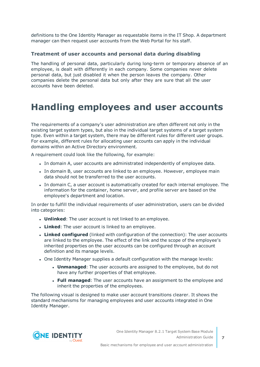definitions to the One Identity Manager as requestable items in the IT Shop. A department manager can then request user accounts from the Web Portal for his staff.

#### **Treatment of user accounts and personal data during disabling**

The handling of personal data, particularly during long-term or temporary absence of an employee, is dealt with differently in each company. Some companies never delete personal data, but just disabled it when the person leaves the company. Other companies delete the personal data but only after they are sure that all the user accounts have been deleted.

## <span id="page-6-0"></span>**Handling employees and user accounts**

The requirements of a company's user administration are often different not only in the existing target system types, but also in the individual target systems of a target system type. Even within a target system, there may be different rules for different user groups. For example, different rules for allocating user accounts can apply in the individual domains within an Active Directory environment.

A requirement could look like the following, for example:

- In domain A, user accounts are administrated independently of employee data.
- In domain B, user accounts are linked to an employee. However, employee main data should not be transferred to the user accounts.
- In domain C, a user account is automatically created for each internal employee. The information for the container, home server, and profile server are based on the employee's department and location.

In order to fulfill the individual requirements of user administration, users can be divided into categories:

- **.** Unlinked: The user account is not linked to an employee.
- **Linked**: The user account is linked to an employee.
- **Linked configured** (linked with configuration of the connection): The user accounts are linked to the employee. The effect of the link and the scope of the employee's inherited properties on the user accounts can be configured through an account definition and its manage levels.
- One Identity Manager supplies a default configuration with the manage levels:
	- **Unmanaged:** The user accounts are assigned to the employee, but do not have any further properties of that employee.
	- **Full managed**: The user accounts have an assignment to the employee and inherit the properties of the employees.

The following visual is designed to make user account transitions clearer. It shows the standard mechanisms for managing employees and user accounts integrated in One Identity Manager.

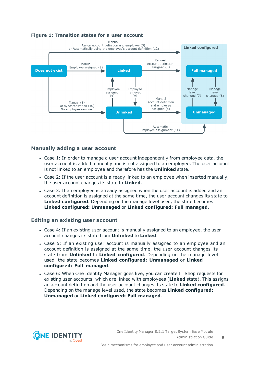#### **Figure 1: Transition states for a user account**



#### **Manually adding a user account**

- Case 1: In order to manage a user account independently from employee data, the user account is added manually and is not assigned to an employee. The user account is not linked to an employee and therefore has the **Unlinked** state.
- Case 2: If the user account is already linked to an employee when inserted manually, the user account changes its state to **Linked**.
- Case 3: If an employee is already assigned when the user account is added and an account definition is assigned at the same time, the user account changes its state to **Linked configured**. Depending on the manage level used, the state becomes **Linked configured: Unmanaged** or **Linked configured: Full managed**.

#### **Editing an existing user account**

- Case 4: If an existing user account is manually assigned to an employee, the user account changes its state from **Unlinked** to **Linked**.
- Case 5: If an existing user account is manually assigned to an employee and an account definition is assigned at the same time, the user account changes its state from **Unlinked** to **Linked configured**. Depending on the manage level used, the state becomes **Linked configured: Unmanaged** or **Linked configured: Full managed**.
- Case 6: When One Identity Manager goes live, you can create IT Shop requests for existing user accounts, which are linked with employees (**Linked** state). This assigns an account definition and the user account changes its state to **Linked configured**. Depending on the manage level used, the state becomes **Linked configured: Unmanaged** or **Linked configured: Full managed**.

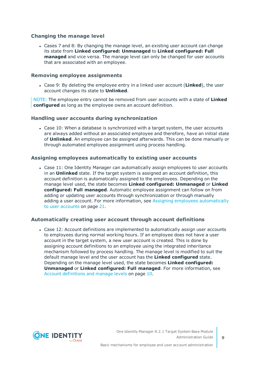### **Changing the manage level**

• Cases 7 and 8: By changing the manage level, an existing user account can change its state from **Linked configured: Unmanaged** to **Linked configured: Full managed** and vice versa. The manage level can only be changed for user accounts that are associated with an employee.

#### **Removing employee assignments**

<sup>l</sup> Case 9: By deleting the employee entry in a linked user account (**Linked**), the user account changes its state to **Unlinked**.

NOTE: The employee entry cannot be removed from user accounts with a state of **Linked configured** as long as the employee owns an account definition.

#### **Handling user accounts during synchronization**

• Case 10: When a database is synchronized with a target system, the user accounts are always added without an associated employee and therefore, have an initial state of **Unlinked**. An employee can be assigned afterwards. This can be done manually or through automated employee assignment using process handling.

#### **Assigning employees automatically to existing user accounts**

• Case 11: One Identity Manager can automatically assign employees to user accounts in an **Unlinked** state. If the target system is assigned an account definition, this account definition is automatically assigned to the employees. Depending on the manage level used, the state becomes **Linked configured: Unmanaged** or **Linked configured: Full managed**. Automatic employee assignment can follow on from adding or updating user accounts through synchronization or through manually adding a user account. For more information, see Assigning employees [automatically](#page-20-0) to user [accounts](#page-20-0) on page 21.

#### **Automatically creating user account through account definitions**

• Case 12: Account definitions are implemented to automatically assign user accounts to employees during normal working hours. If an employee does not have a user account in the target system, a new user account is created. This is done by assigning account definitions to an employee using the integrated inheritance mechanism followed by process handling. The manage level is modified to suit the default manage level and the user account has the **Linked configured** state. Depending on the manage level used, the state becomes **Linked configured: Unmanaged** or **Linked configured: Full managed**. For more [information,](#page-9-1) see Account [definitions](#page-9-1) and manage levels on page 10.



**9**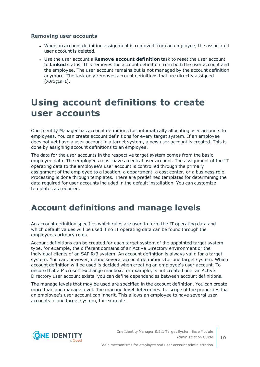#### **Removing user accounts**

- <sup>l</sup> When an account definition assignment is removed from an employee, the associated user account is deleted.
- <sup>l</sup> Use the user account's **Remove account definition** task to reset the user account to **Linked** status. This removes the account definition from both the user account and the employee. The user account remains but is not managed by the account definition anymore. The task only removes account definitions that are directly assigned (XOrigin=1).

## <span id="page-9-0"></span>**Using account definitions to create user accounts**

One Identity Manager has account definitions for automatically allocating user accounts to employees. You can create account definitions for every target system. If an employee does not yet have a user account in a target system, a new user account is created. This is done by assigning account definitions to an employee.

The data for the user accounts in the respective target system comes from the basic employee data. The employees must have a central user account. The assignment of the IT operating data to the employee's user account is controlled through the primary assignment of the employee to a location, a department, a cost center, or a business role. Processing is done through templates. There are predefined templates for determining the data required for user accounts included in the default installation. You can customize templates as required.

### <span id="page-9-1"></span>**Account definitions and manage levels**

An account definition specifies which rules are used to form the IT operating data and which default values will be used if no IT operating data can be found through the employee's primary roles.

Account definitions can be created for each target system of the appointed target system type, for example, the different domains of an Active Directory environment or the individual clients of an SAP R/3 system. An account definition is always valid for a target system. You can, however, define several account definitions for one target system. Which account definition will be used is decided when creating an employee's user account. To ensure that a Microsoft Exchange mailbox, for example, is not created until an Active Directory user account exists, you can define dependencies between account definitions.

The manage levels that may be used are specified in the account definition. You can create more than one manage level. The manage level determines the scope of the properties that an employee's user account can inherit. This allows an employee to have several user accounts in one target system, for example:

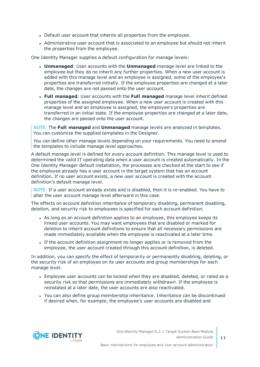- Default user account that inherits all properties from the employee.
- Administrative user account that is associated to an employee but should not inherit the properties from the employee.

One Identity Manager supplies a default configuration for manage levels:

- **Unmanaged:** User accounts with the **Unmanaged** manage level are linked to the employee but they do no inherit any further properties. When a new user account is added with this manage level and an employee is assigned, some of the employee's properties are transferred initially. If the employee properties are changed at a later date, the changes are not passed onto the user account.
- <sup>l</sup> **Full managed**: User accounts with the **Full managed** manage level inherit defined properties of the assigned employee. When a new user account is created with this manage level and an employee is assigned, the employee's properties are transferred in an initial state. If the employee properties are changed at a later date, the changes are passed onto the user account.

NOTE: The **Full managed** and **Unmanaged** manage levels are analyzed in templates. You can customize the supplied templates in the Designer.

You can define other manage levels depending on your requirements. You need to amend the templates to include manage level approaches.

A default manage level is defined for every account definition. This manage level is used to determined the valid IT operating data when a user account is created automatically. In the One Identity Manager default installation, the processes are checked at the start to see if the employee already has a user account in the target system that has an account definition. If no user account exists, a new user account is created with the account definition's default manage level.

NOTE: If a user account already exists and is disabled, then it is re-enabled. You have to alter the user account manage level afterward in this case.

The effects on account definition inheritance of temporary disabling, permanent disabling, deletion, and security risk to employees is specified for each account definition.

- As long as an account definition applies to an employee, this employee keeps its linked user accounts. You may want employees that are disabled or marked for deletion to inherit account definitions to ensure that all necessary permissions are made immediately available when the employee is reactivated at a later time.
- If the account definition assignment no longer applies or is removed from the employee, the user account created through this account definition, is deleted.

In addition, you can specify the effect of temporarily or permanently disabling, deleting, or the security risk of an employee on its user accounts and group memberships for each manage level.

- Employee user accounts can be locked when they are disabled, deleted, or rated as a security risk so that permissions are immediately withdrawn. If the employee is reinstated at a later date, the user accounts are also reactivated.
- You can also define group membership inheritance. Inheritance can be discontinued if desired when, for example, the employee's user accounts are disabled and



Basic mechanisms for employee and user account administration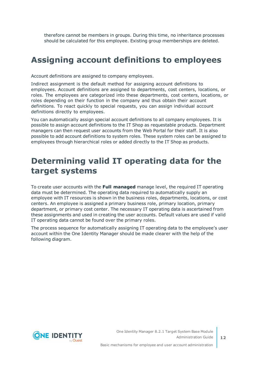therefore cannot be members in groups. During this time, no inheritance processes should be calculated for this employee. Existing group memberships are deleted.

### <span id="page-11-0"></span>**Assigning account definitions to employees**

Account definitions are assigned to company employees.

Indirect assignment is the default method for assigning account definitions to employees. Account definitions are assigned to departments, cost centers, locations, or roles. The employees are categorized into these departments, cost centers, locations, or roles depending on their function in the company and thus obtain their account definitions. To react quickly to special requests, you can assign individual account definitions directly to employees.

You can automatically assign special account definitions to all company employees. It is possible to assign account definitions to the IT Shop as requestable products. Department managers can then request user accounts from the Web Portal for their staff. It is also possible to add account definitions to system roles. These system roles can be assigned to employees through hierarchical roles or added directly to the IT Shop as products.

## <span id="page-11-1"></span>**Determining valid IT operating data for the target systems**

To create user accounts with the **Full managed** manage level, the required IT operating data must be determined. The operating data required to automatically supply an employee with IT resources is shown in the business roles, departments, locations, or cost centers. An employee is assigned a primary business role, primary location, primary department, or primary cost center. The necessary IT operating data is ascertained from these assignments and used in creating the user accounts. Default values are used if valid IT operating data cannot be found over the primary roles.

The process sequence for automatically assigning IT operating data to the employee's user account within the One Identity Manager should be made clearer with the help of the following diagram.

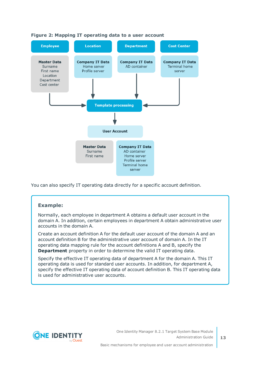

#### **Figure 2: Mapping IT operating data to a user account**

You can also specify IT operating data directly for a specific account definition.

#### **Example:**

Normally, each employee in department A obtains a default user account in the domain A. In addition, certain employees in department A obtain administrative user accounts in the domain A.

Create an account definition A for the default user account of the domain A and an account definition B for the administrative user account of domain A. In the IT operating data mapping rule for the account definitions A and B, specify the **Department** property in order to determine the valid IT operating data.

Specify the effective IT operating data of department A for the domain A. This IT operating data is used for standard user accounts. In addition, for department A, specify the effective IT operating data of account definition B. This IT operating data is used for administrative user accounts.



**13**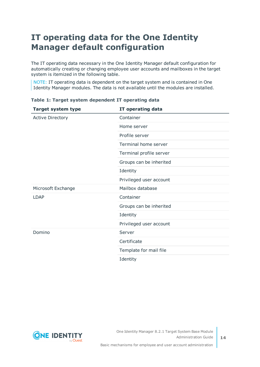## <span id="page-13-0"></span>**IT operating data for the One Identity Manager default configuration**

The IT operating data necessary in the One Identity Manager default configuration for automatically creating or changing employee user accounts and mailboxes in the target system is itemized in the following table.

NOTE: IT operating data is dependent on the target system and is contained in One Identity Manager modules. The data is not available until the modules are installed.

| <b>Target system type</b> | IT operating data       |
|---------------------------|-------------------------|
| <b>Active Directory</b>   | Container               |
|                           | Home server             |
|                           | Profile server          |
|                           | Terminal home server    |
|                           | Terminal profile server |
|                           | Groups can be inherited |
|                           | Identity                |
|                           | Privileged user account |
| Microsoft Exchange        | Mailbox database        |
| LDAP                      | Container               |
|                           | Groups can be inherited |
|                           | Identity                |
|                           | Privileged user account |
| Domino                    | Server                  |
|                           | Certificate             |
|                           | Template for mail file  |
|                           | Identity                |

**Table 1: Target system dependent IT operating data**

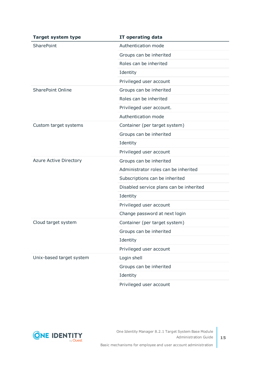| <b>Target system type</b>     | IT operating data                       |  |
|-------------------------------|-----------------------------------------|--|
| <b>SharePoint</b>             | Authentication mode                     |  |
|                               | Groups can be inherited                 |  |
|                               | Roles can be inherited                  |  |
|                               | Identity                                |  |
|                               | Privileged user account                 |  |
| <b>SharePoint Online</b>      | Groups can be inherited                 |  |
|                               | Roles can be inherited                  |  |
|                               | Privileged user account.                |  |
|                               | Authentication mode                     |  |
| Custom target systems         | Container (per target system)           |  |
|                               | Groups can be inherited                 |  |
|                               | Identity                                |  |
|                               | Privileged user account                 |  |
| <b>Azure Active Directory</b> | Groups can be inherited                 |  |
|                               | Administrator roles can be inherited    |  |
|                               | Subscriptions can be inherited          |  |
|                               | Disabled service plans can be inherited |  |
|                               | Identity                                |  |
|                               | Privileged user account                 |  |
|                               | Change password at next login           |  |
| Cloud target system           | Container (per target system)           |  |
|                               | Groups can be inherited                 |  |
|                               | Identity                                |  |
|                               | Privileged user account                 |  |
| Unix-based target system      | Login shell                             |  |
|                               | Groups can be inherited                 |  |
|                               | Identity                                |  |
|                               | Privileged user account                 |  |

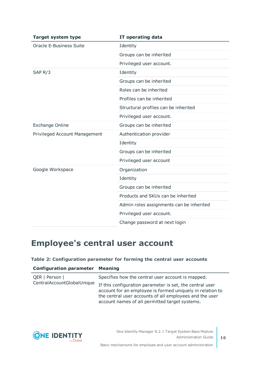| <b>Target system type</b>      | IT operating data                        |
|--------------------------------|------------------------------------------|
| <b>Oracle E-Business Suite</b> | Identity                                 |
|                                | Groups can be inherited                  |
|                                | Privileged user account.                 |
| SAP <sub>R</sub> /3            | Identity                                 |
|                                | Groups can be inherited                  |
|                                | Roles can be inherited                   |
|                                | Profiles can be inherited                |
|                                | Structural profiles can be inherited     |
|                                | Privileged user account.                 |
| <b>Exchange Online</b>         | Groups can be inherited                  |
| Privileged Account Management  | Authentication provider                  |
|                                | Identity                                 |
|                                | Groups can be inherited                  |
|                                | Privileged user account                  |
| Google Workspace               | Organization                             |
|                                | Identity                                 |
|                                | Groups can be inherited                  |
|                                | Products and SKUs can be inherited       |
|                                | Admin roles assignments can be inherited |
|                                | Privileged user account.                 |
|                                | Change password at next login            |

## <span id="page-15-0"></span>**Employee's central user account**

#### **Table 2: Configuration parameter for forming the central user accounts**

| <b>Configuration parameter Meaning</b>       |                                                                                                                                                                                                                                    |
|----------------------------------------------|------------------------------------------------------------------------------------------------------------------------------------------------------------------------------------------------------------------------------------|
| QER   Person  <br>CentralAccountGlobalUnique | Specifies how the central user account is mapped.                                                                                                                                                                                  |
|                                              | If this configuration parameter is set, the central user<br>account for an employee is formed uniquely in relation to<br>the central user accounts of all employees and the user<br>account names of all permitted target systems. |



**16**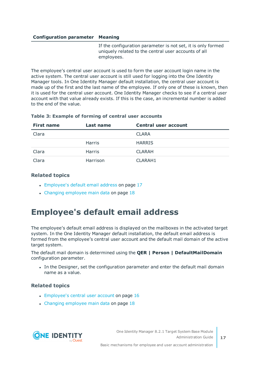#### **Configuration parameter Meaning**

If the configuration parameter is not set, it is only formed uniquely related to the central user accounts of all employees.

The employee's central user account is used to form the user account login name in the active system. The central user account is still used for logging into the One Identity Manager tools. In One Identity Manager default installation, the central user account is made up of the first and the last name of the employee. If only one of these is known, then it is used for the central user account. One Identity Manager checks to see if a central user account with that value already exists. If this is the case, an incremental number is added to the end of the value.

#### **Table 3: Example of forming of central user accounts**

| <b>First name</b> | Last name     | Central user account |
|-------------------|---------------|----------------------|
| Clara             |               | <b>CLARA</b>         |
|                   | Harris        | <b>HARRIS</b>        |
| Clara             | <b>Harris</b> | <b>CLARAH</b>        |
| Clara             | Harrison      | CLARAH1              |

#### **Related topics**

- [Employee's](#page-16-0) default email address on page 17
- Changing [employee](#page-17-0) main data on page 18

## <span id="page-16-0"></span>**Employee's default email address**

The employee's default email address is displayed on the mailboxes in the activated target system. In the One Identity Manager default installation, the default email address is formed from the employee's central user account and the default mail domain of the active target system.

The default mail domain is determined using the **QER | Person | DefaultMailDomain** configuration parameter.

In the Designer, set the configuration parameter and enter the default mail domain name as a value.

#### **Related topics**

- [Employee's](#page-15-0) central user account on page 16
- $\cdot$  Changing [employee](#page-17-0) main data on page 18

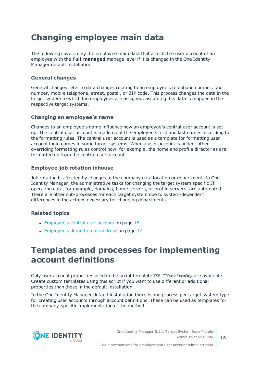## <span id="page-17-0"></span>**Changing employee main data**

The following covers only the employee main data that affects the user account of an employee with the **Full managed** manage level if it is changed in the One Identity Manager default installation.

### **General changes**

General changes refer to data changes relating to an employee's telephone number, fax number, mobile telephone, street, postal, or ZIP code. This process changes the data in the target system to which the employees are assigned, assuming this data is mapped in the respective target systems.

### **Changing an employee's name**

Changes to an employee's name influence how an employee's central user account is set up. The central user account is made up of the employee's first and last names according to the formatting rules. The central user account is used as a template for formatting user account login names in some target systems. When a user account is added, other overriding formatting rules control how, for example, the home and profile directories are formatted up from the central user account.

### **Employee job rotation inhouse**

Job rotation is affected by changes to the company data location or department. In One Identity Manager, the administrative tasks for changing the target system specific IT operating data, for example, domains, home servers, or profile servers, are automated. There are other sub-processes for each target system due to system-dependent differences in the actions necessary for changing departments.

### **Related topics**

- $\cdot$  [Employee's](#page-15-0) central user account on page 16
- [Employee's](#page-16-0) default email address on page 17

## <span id="page-17-1"></span>**Templates and processes for implementing account definitions**

Only user account properties used in the script template TSB\_ITDataFromOrg are available. Create custom templates using this script if you want to use different or additional properties than those in the default installation.

In the One Identity Manager default installation there is one process per target system type for creating user accounts through account definitions. These can be used as templates for the company-specific implementation of the method.

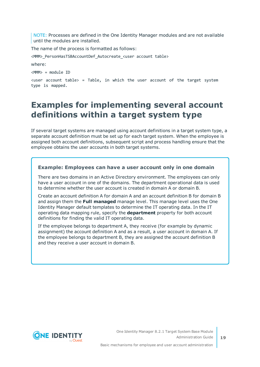NOTE: Processes are defined in the One Identity Manager modules and are not available until the modules are installed.

The name of the process is formatted as follows:

<MMM> PersonHasTSBAccountDef Autocreate <user account table>

where:

<MMM> = module ID

 $x$ user account table> = Table, in which the user account of the target system type is mapped.

### <span id="page-18-0"></span>**Examples for implementing several account definitions within a target system type**

If several target systems are managed using account definitions in a target system type, a separate account definition must be set up for each target system. When the employee is assigned both account definitions, subsequent script and process handling ensure that the employee obtains the user accounts in both target systems.

#### **Example: Employees can have a user account only in one domain**

There are two domains in an Active Directory environment. The employees can only have a user account in one of the domains. The department operational data is used to determine whether the user account is created in domain A or domain B.

Create an account definition A for domain A and an account definition B for domain B and assign them the **Full managed** manage level. This manage level uses the One Identity Manager default templates to determine the IT operating data. In the IT operating data mapping rule, specify the **department** property for both account definitions for finding the valid IT operating data.

If the employee belongs to department A, they receive (for example by dynamic assignment) the account definition A and as a result, a user account in domain A. If the employee belongs to department B, they are assigned the account definition B and they receive a user account in domain B.

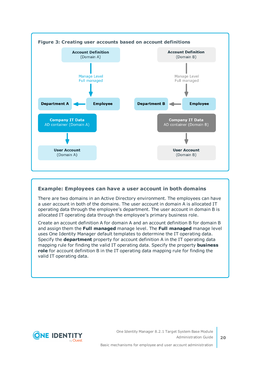

### **Example: Employees can have a user account in both domains**

There are two domains in an Active Directory environment. The employees can have a user account in both of the domains. The user account in domain A is allocated IT operating data through the employee's department. The user account in domain B is allocated IT operating data through the employee's primary business role.

Create an account definition A for domain A and an account definition B for domain B and assign them the **Full managed** manage level. The **Full managed** manage level uses One Identity Manager default templates to determine the IT operating data. Specify the **department** property for account definition A in the IT operating data mapping rule for finding the valid IT operating data. Specify the property **business role** for account definition B in the IT operating data mapping rule for finding the valid IT operating data.

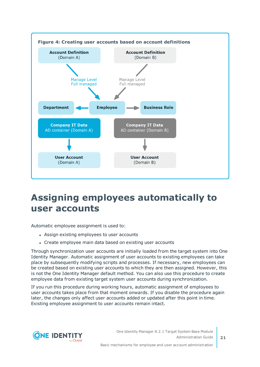

## <span id="page-20-0"></span>**Assigning employees automatically to user accounts**

Automatic employee assignment is used to:

- Assign existing employees to user accounts
- Create employee main data based on existing user accounts

Through synchronization user accounts are initially loaded from the target system into One Identity Manager. Automatic assignment of user accounts to existing employees can take place by subsequently modifying scripts and processes. If necessary, new employees can be created based on existing user accounts to which they are then assigned. However, this is not the One Identity Manager default method. You can also use this procedure to create employee data from existing target system user accounts during synchronization.

If you run this procedure during working hours, automatic assignment of employees to user accounts takes place from that moment onwards. If you disable the procedure again later, the changes only affect user accounts added or updated after this point in time. Existing employee assignment to user accounts remain intact.

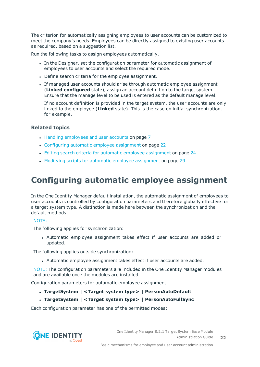The criterion for automatically assigning employees to user accounts can be customized to meet the company's needs. Employees can be directly assigned to existing user accounts as required, based on a suggestion list.

Run the following tasks to assign employees automatically.

- In the Designer, set the configuration parameter for automatic assignment of employees to user accounts and select the required mode.
- Define search criteria for the employee assignment.
- If managed user accounts should arise through automatic employee assignment (**Linked configured** state), assign an account definition to the target system. Ensure that the manage level to be used is entered as the default manage level.

If no account definition is provided in the target system, the user accounts are only linked to the employee (**Linked** state). This is the case on initial synchronization, for example.

#### **Related topics**

- Handling [employees](#page-6-0) and user accounts on page 7
- [Configuring](#page-21-0) automatic employee assignment on page 22
- Editing search criteria for automatic employee [assignment](#page-23-0) on page 24
- Modifying scripts for automatic employee [assignment](#page-28-0) on page 29

## <span id="page-21-0"></span>**Configuring automatic employee assignment**

In the One Identity Manager default installation, the automatic assignment of employees to user accounts is controlled by configuration parameters and therefore globally effective for a target system type. A distinction is made here between the synchronization and the default methods.

#### NOTE:

The following applies for synchronization:

• Automatic employee assignment takes effect if user accounts are added or updated.

The following applies outside synchronization:

• Automatic employee assignment takes effect if user accounts are added.

NOTE: The configuration parameters are included in the One Identity Manager modules and are available once the modules are installed.

Configuration parameters for automatic employee assignment:

- <sup>l</sup> **TargetSystem | <Target system type> | PersonAutoDefault**
- <sup>l</sup> **TargetSystem | <Target system type> | PersonAutoFullSync**

Each configuration parameter has one of the permitted modes:

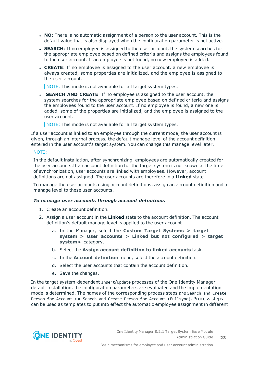- **NO**: There is no automatic assignment of a person to the user account. This is the default value that is also displayed when the configuration parameter is not active.
- **SEARCH:** If no employee is assigned to the user account, the system searches for the appropriate employee based on defined criteria and assigns the employees found to the user account. If an employee is not found, no new employee is added.
- **CREATE:** If no employee is assigned to the user account, a new employee is always created, some properties are initialized, and the employee is assigned to the user account.

NOTE: This mode is not available for all target system types.

**• SEARCH AND CREATE:** If no employee is assigned to the user account, the system searches for the appropriate employee based on defined criteria and assigns the employees found to the user account. If no employee is found, a new one is added, some of the properties are initialized, and the employee is assigned to the user account.

NOTE: This mode is not available for all target system types.

If a user account is linked to an employee through the current mode, the user account is given, through an internal process, the default manage level of the account definition entered in the user account's target system. You can change this manage level later.

#### NOTE:

In the default installation, after synchronizing, employees are automatically created for the user accounts.If an account definition for the target system is not known at the time of synchronization, user accounts are linked with employees. However, account definitions are not assigned. The user accounts are therefore in a **Linked** state.

To manage the user accounts using account definitions, assign an account definition and a manage level to these user accounts.

#### *To manage user accounts through account definitions*

- 1. Create an account definition.
- 2. Assign a user account in the **Linked** state to the account definition. The account definition's default manage level is applied to the user account.
	- a. In the Manager, select the **Custom Target Systems > target system > User accounts > Linked but not configured > target system>** category.
	- b. Select the **Assign account definition to linked accounts** task.
	- c. In the **Account definition** menu, select the account definition.
	- d. Select the user accounts that contain the account definition.
	- e. Save the changes.

In the target system-dependent Insert/Update processes of the One Identity Manager default installation, the configuration parameters are evaluated and the implementation mode is determined. The names of the corresponding process steps are Search and Create Person for Account and Search and Create Person for Account (Fullsync). Process steps can be used as templates to put into effect the automatic employee assignment in different

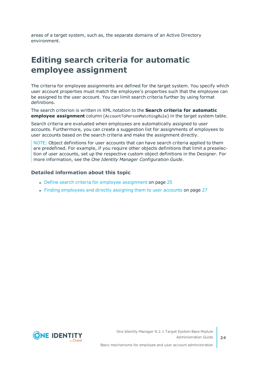areas of a target system, such as, the separate domains of an Active Directory environment.

## <span id="page-23-0"></span>**Editing search criteria for automatic employee assignment**

The criteria for employee assignments are defined for the target system. You specify which user account properties must match the employee's properties such that the employee can be assigned to the user account. You can limit search criteria further by using format definitions.

The search criterion is written in XML notation to the **Search criteria for automatic employee assignment** column (AccountToPersonMatchingRule) in the target system table.

Search criteria are evaluated when employees are automatically assigned to user accounts. Furthermore, you can create a suggestion list for assignments of employees to user accounts based on the search criteria and make the assignment directly.

NOTE: Object definitions for user accounts that can have search criteria applied to them are predefined. For example, if you require other objects definitions that limit a preselection of user accounts, set up the respective custom object definitions in the Designer. For more information, see the *One Identity Manager Configuration Guide*.

#### **Detailed information about this topic**

- Define search criteria for employee [assignment](#page-24-0) on page 25
- Finding [employees](#page-26-0) and directly assigning them to user accounts on page 27

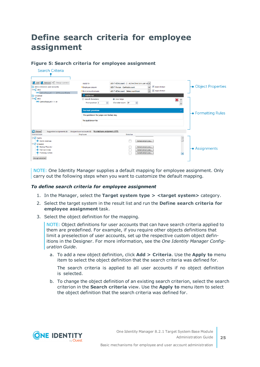## <span id="page-24-0"></span>**Define search criteria for employee assignment**

### **Figure 5: Search criteria for employee assignment**

| Search Criteria                                                                                                                                                |                                                                             |                                                                                                                                                                  |                                    |                               |
|----------------------------------------------------------------------------------------------------------------------------------------------------------------|-----------------------------------------------------------------------------|------------------------------------------------------------------------------------------------------------------------------------------------------------------|------------------------------------|-------------------------------|
| [1, Add   2, Remove   c Change operator<br>Li Active Directory user accounts<br><b>Bog</b> AND<br>-BO CentralAccount <-> SAMAccountName<br><b>Qi</b> Universal | Apply to<br>Employee column<br>User account column<br>Add format            | ADS-T-ADSAccount - 2 - Active Directory user ad =<br>$\bullet$<br>OER-T-Person - CentralAccount<br>$\overline{\phantom{0}}$<br>ADS-T-ADSAccount - SAMAccountName | Apply format<br>Apply format       | → Object Properties           |
| <b>E-E- AND</b><br>-DD CentralAccount <-> cn                                                                                                                   | <b>B</b> Use all characters<br>高<br>Fromposition 1<br><b>Format preview</b> | <b>O</b> Use range<br>후<br>Character count 19                                                                                                                    | ×<br>$\frac{1}{\sqrt{2}}$          |                               |
|                                                                                                                                                                | The quick brown fox jumps over the lazy dog.<br>The quick brown fox         |                                                                                                                                                                  |                                    | $\leftarrow$ Formatting Rules |
| <b>C</b> Reload<br>Suggested assignments (4)<br>User account                                                                                                   | No employee assignment (119)<br>Assigned user accounts (0)<br>Employee      | Selection                                                                                                                                                        |                                    |                               |
| $\oplus \bigotimes$ Berlin<br>Achim Andreas<br>$\oplus$ Dresden<br>← Baldus Theodor<br>Fahrrad Didax<br>Freiberg Jochen<br>Assignselected                      |                                                                             | Select employee<br>Select employee<br>Select employee<br>Select employee                                                                                         | $\overline{\phantom{a}}$<br>π<br>同 | $\rightarrow$ Assignments     |

NOTE: One Identity Manager supplies a default mapping for employee assignment. Only carry out the following steps when you want to customize the default mapping.

#### *To define search criteria for employee assignment*

- 1. In the Manager, select the **Target system type > <target system>** category.
- 2. Select the target system in the result list and run the **Define search criteria for employee assignment** task.
- 3. Select the object definition for the mapping.

NOTE: Object definitions for user accounts that can have search criteria applied to them are predefined. For example, if you require other objects definitions that limit a preselection of user accounts, set up the respective custom object definitions in the Designer. For more information, see the *One Identity Manager Configuration Guide*.

a. To add a new object definition, click **Add > Criteria**. Use the **Apply to** menu item to select the object definition that the search criteria was defined for.

The search criteria is applied to all user accounts if no object definition is selected.

b. To change the object definition of an existing search criterion, select the search criterion in the **Search criteria** view. Use the **Apply to** menu item to select the object definition that the search criteria was defined for.

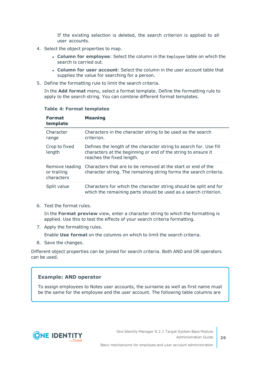If the existing selection is deleted, the search criterion is applied to all user accounts.

- 4. Select the object properties to map.
	- <sup>l</sup> **Column for employee**: Select the column in the Employee table on which the search is carried out.
	- <sup>l</sup> **Column for user account**: Select the column in the user account table that supplies the value for searching for a person.
- 5. Define the formatting rule to limit the search criteria.

In the **Add format** menu, select a format template. Define the formatting rule to apply to the search string. You can combine different format templates.

|  | <b>Table 4: Format templates</b> |
|--|----------------------------------|
|  |                                  |

| <b>Format</b><br>template                   | <b>Meaning</b>                                                                                                                                                   |
|---------------------------------------------|------------------------------------------------------------------------------------------------------------------------------------------------------------------|
| Character<br>range                          | Characters in the character string to be used as the search<br>criterion.                                                                                        |
| Crop to fixed<br>length                     | Defines the length of the character string to search for. Use fill<br>characters at the beginning or end of the string to ensure it<br>reaches the fixed length. |
| Remove leading<br>or trailing<br>characters | Characters that are to be removed at the start or end of the<br>character string. The remaining string forms the search criteria.                                |
| Split value                                 | Characters for which the character string should be split and for<br>which the remaining parts should be used as a search criterion.                             |

6. Test the format rules.

In the **Format preview** view, enter a character string to which the formatting is applied. Use this to test the effects of your search criteria formatting.

7. Apply the formatting rules.

Enable **Use format** on the columns on which to limit the search criteria.

8. Save the changes.

Different object properties can be joined for search criteria. Both AND and OR operators can be used.

#### **Example: AND operator**

To assign employees to Notes user accounts, the surname as well as first name must be the same for the employee and the user account. The following table columns are

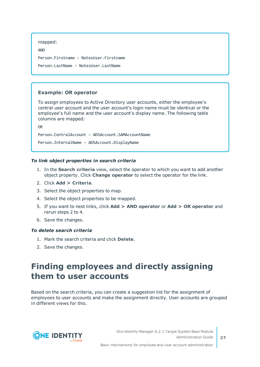```
mapped:
```

```
AND
Person.Firstname – NotesUser.Firstname
Person.LastName – NotesUser.LastName
```
### **Example: OR operator**

To assign employees to Active Directory user accounts, either the employee's central user account and the user account's login name must be identical or the employee's full name and the user account's display name. The following table columns are mapped:

OR

Person.CentralAccount – ADSAccount.SAMAccountName

Person.InternalName – ADSAccount.DisplayName

#### *To link object properties in search criteria*

- 1. In the **Search criteria** view, select the operator to which you want to add another object property. Click **Change operator** to select the operator for the link.
- 2. Click **Add > Criteria**.
- 3. Select the object properties to map.
- 4. Select the object properties to be mapped.
- 5. If you want to nest links, click **Add > AND operator** or **Add > OR operator** and rerun steps 2 to 4.
- 6. Save the changes.

#### *To delete search criteria*

- 1. Mark the search criteria and click **Delete**.
- <span id="page-26-0"></span>2. Save the changes.

## **Finding employees and directly assigning them to user accounts**

Based on the search criteria, you can create a suggestion list for the assignment of employees to user accounts and make the assignment directly. User accounts are grouped in different views for this.



Basic mechanisms for employee and user account administration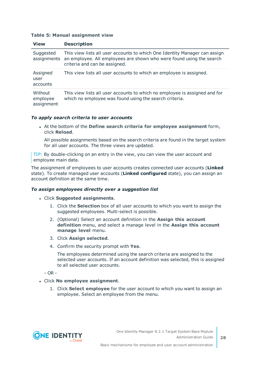#### **Table 5: Manual assignment view**

| <b>View</b>                       | <b>Description</b>                                                                                                                                                                  |
|-----------------------------------|-------------------------------------------------------------------------------------------------------------------------------------------------------------------------------------|
| Suggested<br>assignments          | This view lists all user accounts to which One Identity Manager can assign<br>an employee. All employees are shown who were found using the search<br>criteria and can be assigned. |
| Assigned<br>user<br>accounts      | This view lists all user accounts to which an employee is assigned.                                                                                                                 |
| Without<br>employee<br>assignment | This view lists all user accounts to which no employee is assigned and for<br>which no employee was found using the search criteria.                                                |

#### *To apply search criteria to user accounts*

<sup>l</sup> At the bottom of the **Define search criteria for employee assignment** form, click **Reload**.

All possible assignments based on the search criteria are found in the target system for all user accounts. The three views are updated.

TIP: By double-clicking on an entry in the view, you can view the user account and employee main data.

The assignment of employees to user accounts creates connected user accounts (**Linked** state). To create managed user accounts (**Linked configured** state), you can assign an account definition at the same time.

#### *To assign employees directly over a suggestion list*

- <sup>l</sup> Click **Suggested assignments**.
	- 1. Click the **Selection** box of all user accounts to which you want to assign the suggested employees. Multi-select is possible.
	- 2. (Optional) Select an account definition in the **Assign this account definition** menu, and select a manage level in the **Assign this account manage level** menu.
	- 3. Click **Assign selected**.
	- 4. Confirm the security prompt with **Yes**.

The employees determined using the search criteria are assigned to the selected user accounts. If an account definition was selected, this is assigned to all selected user accounts.

- OR -

#### <sup>l</sup> Click **No employee assignment**.

1. Click **Select employee** for the user account to which you want to assign an employee. Select an employee from the menu.



**28**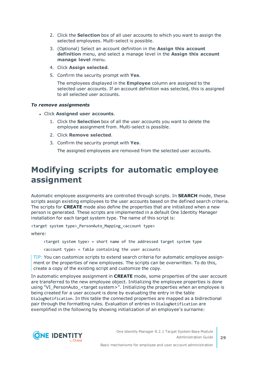- 2. Click the **Selection** box of all user accounts to which you want to assign the selected employees. Multi-select is possible.
- 3. (Optional) Select an account definition in the **Assign this account definition** menu, and select a manage level in the **Assign this account manage level** menu.
- 4. Click **Assign selected**.
- 5. Confirm the security prompt with **Yes**.

The employees displayed in the **Employee** column are assigned to the selected user accounts. If an account definition was selected, this is assigned to all selected user accounts.

#### *To remove assignments*

- <sup>l</sup> Click **Assigned user accounts**.
	- 1. Click the **Selection** box of all the user accounts you want to delete the employee assignment from. Multi-select is possible.
	- 2. Click **Remove selected**.
	- 3. Confirm the security prompt with **Yes**.

The assigned employees are removed from the selected user accounts.

### <span id="page-28-0"></span>**Modifying scripts for automatic employee assignment**

Automatic employee assignments are controlled through scripts. In **SEARCH** mode, these scripts assign existing employees to the user accounts based on the defined search criteria. The scripts for **CREATE** mode also define the properties that are initialized when a new person is generated. These scripts are implemented in a default One Identity Manager installation for each target system type. The name of this script is:

<target system type>\_PersonAuto\_Mapping\_<account type>

where:

 $\langle$ target system type $\rangle$  = short name of the addressed target system type

 $\langle$  account type $\rangle$  = Table containing the user accounts

TIP: You can customize scripts to extend search criteria for automatic employee assignment or the properties of new employees. The scripts can be overwritten. To do this, create a copy of the existing script and customize the copy.

In automatic employee assignment in **CREATE** mode, some properties of the user account are transferred to the new employee object. Initializing the employee properties is done using "VI\_PersonAuto\_<target system>". Initializing the properties when an employee is being created for a user account is done by evaluating the entry in the table DialogNotification. In this table the connected properties are mapped as a bidirectional pair through the formatting rules. Evaluation of entries in DialogNotification are exemplified in the following by showing initialization of an employee's surname:



**29**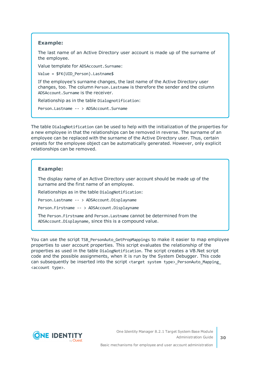#### **Example:**

The last name of an Active Directory user account is made up of the surname of the employee.

Value template for ADSAccount.Surname:

Value = \$FK(UID Person).Lastname\$

If the employee's surname changes, the last name of the Active Directory user changes, too. The column Person.Lastname is therefore the sender and the column ADSAccount.Surname is the receiver.

Relationship as in the table Dialognotification:

Person.Lastname -- > ADSAccount.Surname

The table DialogNotification can be used to help with the initialization of the properties for a new employee in that the relationships can be removed in reverse. The surname of an employee can be replaced with the surname of the Active Directory user. Thus, certain presets for the employee object can be automatically generated. However, only explicit relationships can be removed.

#### **Example:**

The display name of an Active Directory user account should be made up of the surname and the first name of an employee.

Relationships as in the table DialogNotification:

Person.Lastname -- > ADSAccount.Displayname

Person.Firstname -- > ADSAccount.Displayname

The Person.Firstname and Person.Lastname cannot be determined from the ADSAccount.Displayname, since this is a compound value.

You can use the script TSB PersonAuto GetPropMappings to make it easier to map employee properties to user account properties. This script evaluates the relationship of the properties as used in the table DialogNotification. The script creates a VB.Net script code and the possible assignments, when it is run by the System Debugger. This code can subsequently be inserted into the script <target system type> PersonAuto Mapping <account type>.

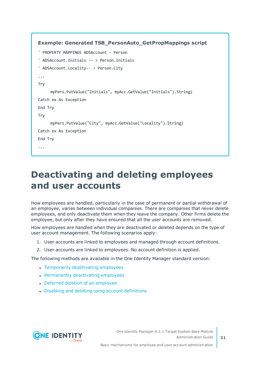```
Example: Generated TSB_PersonAuto_GetPropMappings script
' PROPERTY MAPPINGS ADSAccount - Person
' ADSAccount.Initials -- > Person.Initials
' ADSAccount.Locality-- > Person.City
...
Try
     myPers.PutValue("Initials", myAcc.GetValue("Initials").String)
Catch ex As Exception
End Try
Try
     myPers.PutValue("City", myAcc.GetValue("Locality").String)
Catch ex As Exception
End Try
...
```
## <span id="page-30-0"></span>**Deactivating and deleting employees and user accounts**

How employees are handled, particularly in the case of permanent or partial withdrawal of an employee, varies between individual companies. There are companies that never delete employees, and only deactivate them when they leave the company. Other firms delete the employee, but only after they have ensured that all the user accounts are removed.

How employees are handled when they are deactivated or deleted depends on the type of user account management. The following scenarios apply:

- 1. User accounts are linked to employees and managed through account definitions.
- 2. User accounts are linked to employees. No account definition is applied.

The following methods are available in the One Identity Manager standard version:

- Temporarily [deactivating](#page-31-0) employees
- [Permanently](#page-31-1) deactivating employees
- Deferred deletion of an [employee](#page-33-0)
- Disabling and deleting using account [definitions](#page-33-1)



Basic mechanisms for employee and user account administration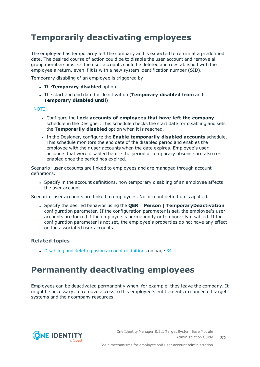## <span id="page-31-0"></span>**Temporarily deactivating employees**

The employee has temporarily left the company and is expected to return at a predefined date. The desired course of action could be to disable the user account and remove all group memberships. Or the user accounts could be deleted and reestablished with the employee's return, even if it is with a new system identification number (SID).

Temporary disabling of an employee is triggered by:

- <sup>l</sup> The**Temporary disabled** option
- <sup>l</sup> The start and end date for deactivation (**Temporary disabled from** and **Temporary disabled until**)

#### NOTE:

- <sup>l</sup> Configure the **Lock accounts of employees that have left the company** schedule in the Designer. This schedule checks the start date for disabling and sets the **Temporarily disabled** option when it is reached.
- <sup>l</sup> In the Designer, configure the **Enable temporarily disabled accounts** schedule. This schedule monitors the end date of the disabled period and enables the employee with their user accounts when the date expires. Employee's user accounts that were disabled before the period of temporary absence are also reenabled once the period has expired.

Scenario: user accounts are linked to employees and are managed through account definitions.

• Specify in the account definitions, how temporary disabling of an employee affects the user account.

Scenario: user accounts are linked to employees. No account definition is applied.

<sup>l</sup> Specify the desired behavior using the **QER | Person | TemporaryDeactivation** configuration parameter. If the configuration parameter is set, the employee's user accounts are locked if the employee is permanently or temporarily disabled. If the configuration parameter is not set, the employee's properties do not have any effect on the associated user accounts.

### **Related topics**

• Disabling and deleting using account [definitions](#page-33-1) on page 34

## <span id="page-31-1"></span>**Permanently deactivating employees**

Employees can be deactivated permanently when, for example, they leave the company. It might be necessary, to remove access to this employee's entitlements in connected target systems and their company resources.

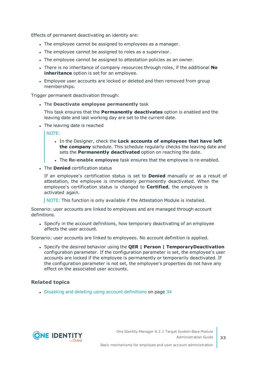Effects of permanent deactivating an identity are:

- The employee cannot be assigned to employees as a manager.
- The employee cannot be assigned to roles as a supervisor.
- The employee cannot be assigned to attestation policies as an owner.
- <sup>l</sup> There is no inheritance of company resources through roles, if the additional **No inheritance** option is set for an employee.
- Employee user accounts are locked or deleted and then removed from group memberships.

Trigger permanent deactivation through:

<sup>l</sup> The **Deactivate employee permanently** task

This task ensures that the **Permanently deactivates** option is enabled and the leaving date and last working day are set to the current date.

• The leaving date is reached

NOTE:

- <sup>l</sup> In the Designer, check the **Lock accounts of employees that have left the company** schedule. This schedule regularly checks the leaving date and sets the **Permanently deactivated** option on reaching the date.
- <sup>l</sup> The **Re-enable employee** task ensures that the employee is re-enabled.
- **.** The **Denied** certification status

If an employee's certification status is set to **Denied** manually or as a result of attestation, the employee is immediately permanently deactivated. When the employee's certification status is changed to **Certified**, the employee is activated again.

NOTE: This function is only available if the Attestation Module is installed.

Scenario: user accounts are linked to employees and are managed through account definitions.

• Specify in the account definitions, how temporary deactivating of an employee affects the user account.

Scenario: user accounts are linked to employees. No account definition is applied.

<sup>l</sup> Specify the desired behavior using the **QER | Person | TemporaryDeactivation** configuration parameter. If the configuration parameter is set, the employee's user accounts are locked if the employee is permanently or temporarily deactivated. If the configuration parameter is not set, the employee's properties do not have any effect on the associated user accounts.

#### **Related topics**

• Disabling and deleting using account [definitions](#page-33-1) on page 34

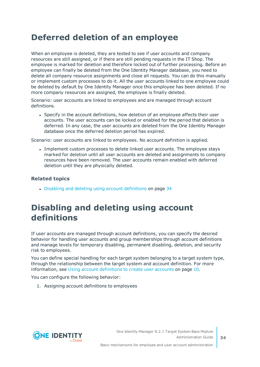## <span id="page-33-0"></span>**Deferred deletion of an employee**

When an employee is deleted, they are tested to see if user accounts and company resources are still assigned, or if there are still pending requests in the IT Shop. The employee is marked for deletion and therefore locked out of further processing. Before an employee can finally be deleted from the One Identity Manager database, you need to delete all company resource assignments and close all requests. You can do this manually or implement custom processes to do it. All the user accounts linked to one employee could be deleted by default by One Identity Manager once this employee has been deleted. If no more company resources are assigned, the employee is finally deleted.

Scenario: user accounts are linked to employees and are managed through account definitions.

• Specify in the account definitions, how deletion of an employee affects their user accounts. The user accounts can be locked or enabled for the period that deletion is deferred. In any case, the user accounts are deleted from the One Identity Manager database once the deferred deletion period has expired.

Scenario: user accounts are linked to employees. No account definition is applied.

• Implement custom processes to delete linked user accounts. The employee stays marked for deletion until all user accounts are deleted and assignments to company resources have been removed. The user accounts remain enabled with deferred deletion until they are physically deleted.

#### **Related topics**

• Disabling and deleting using account [definitions](#page-33-1) on page 34

### <span id="page-33-1"></span>**Disabling and deleting using account definitions**

If user accounts are managed through account definitions, you can specify the desired behavior for handling user accounts and group memberships through account definitions and manage levels for temporary disabling, permanent disabling, deletion, and security risk to employees.

You can define special handling for each target system belonging to a target system type, through the relationship between the target system and account definition. For [more](#page-9-0) [information,](#page-9-0) see Using account definitions to create user accounts on page 10.

You can configure the following behavior:

1. Assigning account definitions to employees

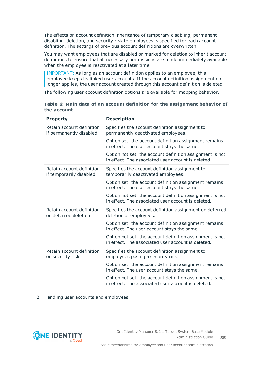The effects on account definition inheritance of temporary disabling, permanent disabling, deletion, and security risk to employees is specified for each account definition. The settings of previous account definitions are overwritten.

You may want employees that are disabled or marked for deletion to inherit account definitions to ensure that all necessary permissions are made immediately available when the employee is reactivated at a later time.

IMPORTANT: As long as an account definition applies to an employee, this employee keeps its linked user accounts. If the account definition assignment no longer applies, the user account created through this account definition is deleted.

The following user account definition options are available for mapping behavior.

#### **Table 6: Main data of an account definition for the assignment behavior of the account**

| <b>Property</b>                                      | <b>Description</b>                                                                                             |
|------------------------------------------------------|----------------------------------------------------------------------------------------------------------------|
| Retain account definition<br>if permanently disabled | Specifies the account definition assignment to<br>permanently deactivated employees.                           |
|                                                      | Option set: the account definition assignment remains<br>in effect. The user account stays the same.           |
|                                                      | Option not set: the account definition assignment is not<br>in effect. The associated user account is deleted. |
| Retain account definition<br>if temporarily disabled | Specifies the account definition assignment to<br>temporarily deactivated employees.                           |
|                                                      | Option set: the account definition assignment remains<br>in effect. The user account stays the same.           |
|                                                      | Option not set: the account definition assignment is not<br>in effect. The associated user account is deleted. |
| Retain account definition<br>on deferred deletion    | Specifies the account definition assignment on deferred<br>deletion of employees.                              |
|                                                      | Option set: the account definition assignment remains<br>in effect. The user account stays the same.           |
|                                                      | Option not set: the account definition assignment is not<br>in effect. The associated user account is deleted. |
| Retain account definition<br>on security risk        | Specifies the account definition assignment to<br>employees posing a security risk.                            |
|                                                      | Option set: the account definition assignment remains<br>in effect. The user account stays the same.           |
|                                                      | Option not set: the account definition assignment is not<br>in effect. The associated user account is deleted. |
|                                                      |                                                                                                                |

#### 2. Handling user accounts and employees

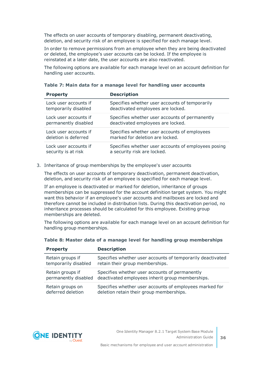The effects on user accounts of temporary disabling, permanent deactivating, deletion, and security risk of an employee is specified for each manage level.

In order to remove permissions from an employee when they are being deactivated or deleted, the employee's user accounts can be locked. If the employee is reinstated at a later date, the user accounts are also reactivated.

The following options are available for each manage level on an account definition for handling user accounts.

#### **Table 7: Main data for a manage level for handling user accounts**

| <b>Property</b>       | <b>Description</b>                                  |
|-----------------------|-----------------------------------------------------|
| Lock user accounts if | Specifies whether user accounts of temporarily      |
| temporarily disabled  | deactivated employees are locked.                   |
| Lock user accounts if | Specifies whether user accounts of permanently      |
| permanently disabled  | deactivated employees are locked.                   |
| Lock user accounts if | Specifies whether user accounts of employees        |
| deletion is deferred  | marked for deletion are locked.                     |
| Lock user accounts if | Specifies whether user accounts of employees posing |
| security is at risk   | a security risk are locked.                         |

3. Inheritance of group memberships by the employee's user accounts

The effects on user accounts of temporary deactivation, permanent deactivation, deletion, and security risk of an employee is specified for each manage level.

If an employee is deactivated or marked for deletion, inheritance of groups memberships can be suppressed for the account definition target system. You might want this behavior if an employee's user accounts and mailboxes are locked and therefore cannot be included in distribution lists. During this deactivation period, no inheritance processes should be calculated for this employee. Existing group memberships are deleted.

The following options are available for each manage level on an account definition for handling group memberships.

| <b>Property</b>      | <b>Description</b>                                         |
|----------------------|------------------------------------------------------------|
| Retain groups if     | Specifies whether user accounts of temporarily deactivated |
| temporarily disabled | retain their group memberships.                            |
| Retain groups if     | Specifies whether user accounts of permanently             |
| permanently disabled | deactivated employees inherit group memberships.           |
| Retain groups on     | Specifies whether user accounts of employees marked for    |
| deferred deletion    | deletion retain their group memberships.                   |

**Table 8: Master data of a manage level for handling group memberships**

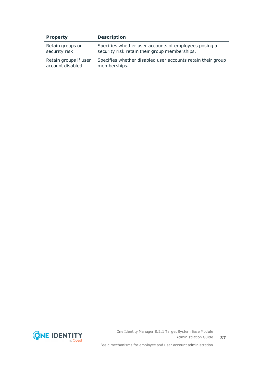| <b>Property</b>       | <b>Description</b>                                          |
|-----------------------|-------------------------------------------------------------|
| Retain groups on      | Specifies whether user accounts of employees posing a       |
| security risk         | security risk retain their group memberships.               |
| Retain groups if user | Specifies whether disabled user accounts retain their group |
| account disabled      | memberships.                                                |



Basic mechanisms for employee and user account administration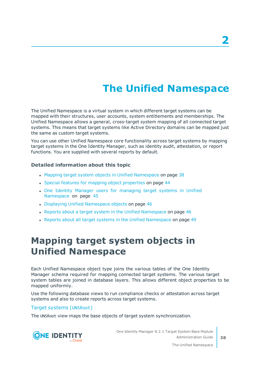# **The Unified Namespace**

<span id="page-37-0"></span>The Unified Namespace is a virtual system in which different target systems can be mapped with their structures, user accounts, system entitlements and memberships. The Unified Namespace allows a general, cross-target system mapping of all connected target systems. This means that target systems like Active Directory domains can be mapped just the same as custom target systems.

You can use other Unified Namespace core functionality across target systems by mapping target systems in the One Identity Manager, such as identity audit, attestation, or report functions. You are supplied with several reports by default.

### **Detailed information about this topic**

- Mapping target system objects in Unified [Namespace](#page-37-1) on page 38
- Special features for mapping object [properties](#page-43-0) on page 44
- . One Identity Manager users for [managing](#page-44-0) target systems in Unified [Namespace](#page-44-0) on page 45
- Displaying Unified [Namespace](#page-45-0) objects on page 46
- Reports about a target system in the Unified [Namespace](#page-45-1) on page 46
- <span id="page-37-1"></span>• Reports about all target systems in the Unified [Namespace](#page-48-0) on page 49

## **Mapping target system objects in Unified Namespace**

Each Unified Namespace object type joins the various tables of the One Identity Manager schema required for mapping connected target systems. The various target system tables are joined in database layers. This allows different object properties to be mapped uniformly.

Use the following database views to run compliance checks or attestation across target systems and also to create reports across target systems.

#### Target systems (UNSRoot)

The UNSRoot view maps the base objects of target system synchronization.



One Identity Manager 8.2.1 Target System Base Module Administration Guide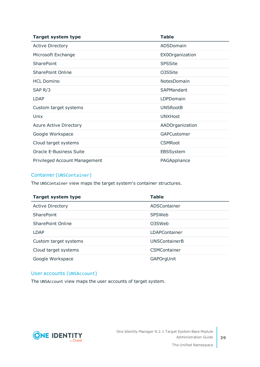| <b>Target system type</b>            | <b>Table</b>    |
|--------------------------------------|-----------------|
| <b>Active Directory</b>              | ADSDomain       |
| Microsoft Exchange                   | EX0Organization |
| <b>SharePoint</b>                    | <b>SPSSite</b>  |
| <b>SharePoint Online</b>             | 03SSite         |
| <b>HCL Domino</b>                    | NotesDomain     |
| SAP $R/3$                            | SAPMandant      |
| <b>LDAP</b>                          | LDPDomain       |
| Custom target systems                | <b>UNSRootB</b> |
| Unix                                 | <b>UNXHost</b>  |
| <b>Azure Active Directory</b>        | AADOrganization |
| Google Workspace                     | GAPCustomer     |
| Cloud target systems                 | <b>CSMRoot</b>  |
| <b>Oracle E-Business Suite</b>       | EBSSystem       |
| <b>Privileged Account Management</b> | PAGAppliance    |

### Container (UNSContainer)

The UNSContainer view maps the target system's container structures.

| <b>Target system type</b> | <b>Table</b>         |
|---------------------------|----------------------|
| <b>Active Directory</b>   | ADSContainer         |
| SharePoint                | <b>SPSWeb</b>        |
| SharePoint Online         | 03SWeb               |
| LDAP                      | <b>LDAPContainer</b> |
| Custom target systems     | <b>UNSContainerB</b> |
| Cloud target systems      | <b>CSMContainer</b>  |
| Google Workspace          | GAPOrgUnit           |

### User accounts (UNSAccount)

The UNSAccount view maps the user accounts of target system.

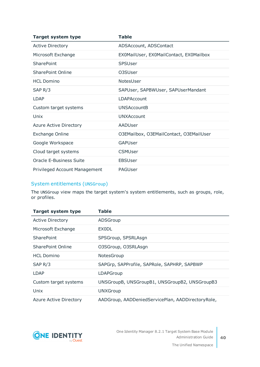| <b>Target system type</b>            | <b>Table</b>                            |
|--------------------------------------|-----------------------------------------|
| <b>Active Directory</b>              | ADSAccount, ADSContact                  |
| Microsoft Exchange                   | EX0MailUser, EX0MailContact, EX0Mailbox |
| SharePoint                           | <b>SPSUser</b>                          |
| <b>SharePoint Online</b>             | 03SUser                                 |
| <b>HCL Domino</b>                    | NotesUser                               |
| SAP $R/3$                            | SAPUser, SAPBWUser, SAPUserMandant      |
| <b>LDAP</b>                          | <b>LDAPAccount</b>                      |
| Custom target systems                | <b>UNSAccountB</b>                      |
| Unix                                 | <b>UNXAccount</b>                       |
| Azure Active Directory               | AADUser                                 |
| <b>Exchange Online</b>               | O3EMailbox, O3EMailContact, O3EMailUser |
| Google Workspace                     | GAPUser                                 |
| Cloud target systems                 | <b>CSMUser</b>                          |
| <b>Oracle E-Business Suite</b>       | <b>EBSUser</b>                          |
| <b>Privileged Account Management</b> | PAGUser                                 |

### System entitlements (UNSGroup)

The UNSGroup view maps the target system's system entitlements, such as groups, role, or profiles.

| <b>Target system type</b> | Table                                             |
|---------------------------|---------------------------------------------------|
| <b>Active Directory</b>   | ADSGroup                                          |
| Microsoft Exchange        | <b>EXODL</b>                                      |
| SharePoint                | SPSGroup, SPSRLAsgn                               |
| SharePoint Online         | O3SGroup, O3SRLAsgn                               |
| <b>HCL Domino</b>         | NotesGroup                                        |
| SAP R/3                   | SAPGrp, SAPProfile, SAPRole, SAPHRP, SAPBWP       |
| LDAP                      | LDAPGroup                                         |
| Custom target systems     | UNSGroupB, UNSGroupB1, UNSGroupB2, UNSGroupB3     |
| Unix                      | <b>UNXGroup</b>                                   |
| Azure Active Directory    | AADGroup, AADDeniedServicePlan, AADDirectoryRole, |



**40**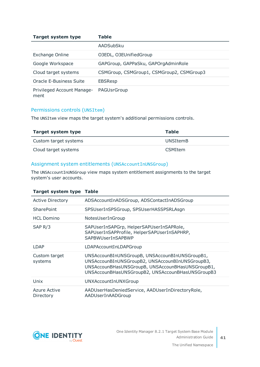| <b>Target system type</b>          | <b>Table</b>                              |
|------------------------------------|-------------------------------------------|
|                                    | AADSubSku                                 |
| Exchange Online                    | O3EDL, O3EUnifiedGroup                    |
| Google Workspace                   | GAPGroup, GAPPaSku, GAPOrgAdminRole       |
| Cloud target systems               | CSMGroup, CSMGroup1, CSMGroup2, CSMGroup3 |
| Oracle E-Business Suite            | <b>EBSResp</b>                            |
| Privileged Account Manage-<br>ment | PAGUsrGroup                               |

### Permissions controls (UNSItem)

The UNSItem view maps the target system's additional permissions controls.

| Target system type    | Table           |
|-----------------------|-----------------|
| Custom target systems | <b>UNSItemB</b> |
| Cloud target systems  | <b>CSMItem</b>  |

### Assignment system entitlements (UNSAccountInUNSGroup)

The UNSAccountInUNSGroup view maps system entitlement assignments to the target system's user accounts.

| <b>Target system type Table</b>  |                                                                                                                                                                                                           |
|----------------------------------|-----------------------------------------------------------------------------------------------------------------------------------------------------------------------------------------------------------|
| <b>Active Directory</b>          | ADSAccountInADSGroup, ADSContactInADSGroup                                                                                                                                                                |
| <b>SharePoint</b>                | SPSUserInSPSGroup, SPSUserHASSPSRLAsgn                                                                                                                                                                    |
| <b>HCL Domino</b>                | NotesUserInGroup                                                                                                                                                                                          |
| SAP R/3                          | SAPUserInSAPGrp, HelperSAPUserInSAPRole,<br>SAPUserInSAPProfile, HelperSAPUserInSAPHRP,<br>SAPBWUserInSAPBWP                                                                                              |
| LDAP                             | LDAPAccountInLDAPGroup                                                                                                                                                                                    |
| Custom target<br>systems         | UNSAccounBInUNSGroupB, UNSAccounBInUNSGroupB1,<br>UNSAccounBInUNSGroupB2, UNSAccounBInUNSGroupB3,<br>UNSAccounBHasUNSGroupB, UNSAccounBHasUNSGroupB1,<br>UNSAccounBHasUNSGroupB2, UNSAccounBHasUNSGroupB3 |
| Unix                             | UNXAccountInUNXGroup                                                                                                                                                                                      |
| <b>Azure Active</b><br>Directory | AADUserHasDeniedService, AADUserInDirectoryRole,<br>AADUserInAADGroup                                                                                                                                     |

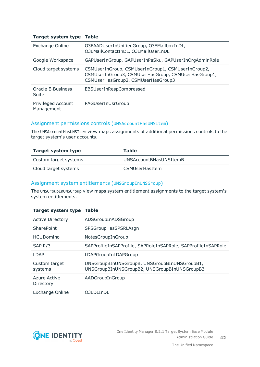#### **Target system type Table**

| Exchange Online                  | O3EAADUserInUnifiedGroup, O3EMailboxInDL,<br>O3EMailContactInDL, O3EMailUserInDL                                                               |
|----------------------------------|------------------------------------------------------------------------------------------------------------------------------------------------|
| Google Workspace                 | GAPUserInGroup, GAPUserInPaSku, GAPUserInOrgAdminRole                                                                                          |
| Cloud target systems             | CSMUserInGroup, CSMUserInGroup1, CSMUserInGroup2,<br>CSMUserInGroup3, CSMUserHasGroup, CSMUserHasGroup1,<br>CSMUserHasGroup2, CSMUserHasGroup3 |
| Oracle E-Business<br>Suite       | EBSUserInRespCompressed                                                                                                                        |
| Privileged Account<br>Management | PAGUserInUsrGroup                                                                                                                              |

### Assignment permissions controls (UNSAccountHasUNSItem)

The UNSAccountHasUNSItem view maps assignments of additional permissions controls to the target system's user accounts.

| Target system type    | <b>Table</b>           |
|-----------------------|------------------------|
| Custom target systems | UNSAccountBHasUNSItemB |
| Cloud target systems  | <b>CSMUserHasItem</b>  |

### Assignment system entitlements (UNSGroupInUNSGroup)

The UNSGroupInUNSGroup view maps system entitlement assignments to the target system's system entitlements.

#### **Target system type Table**

| <b>Active Directory</b>   | ADSGroupInADSGroup                                                                           |
|---------------------------|----------------------------------------------------------------------------------------------|
| SharePoint                | SPSGroupHasSPSRLAsgn                                                                         |
| <b>HCL Domino</b>         | NotesGroupInGroup                                                                            |
| SAP <sub>R</sub> /3       | SAPProfileInSAPProfile, SAPRoleInSAPRole, SAPProfileInSAPRole                                |
| LDAP                      | LDAPGroupInLDAPGroup                                                                         |
| Custom target<br>systems  | UNSGroupBInUNSGroupB, UNSGroupBInUNSGroupB1,<br>UNSGroupBInUNSGroupB2, UNSGroupBInUNSGroupB3 |
| Azure Active<br>Directory | AADGroupInGroup                                                                              |
| <b>Exchange Online</b>    | 03FDLInDL                                                                                    |



 $\overline{42}$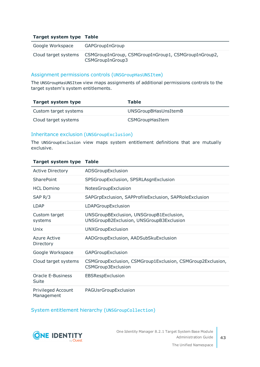#### **Target system type Table**

| Google Workspace     | GAPGroupInGroup                                                          |
|----------------------|--------------------------------------------------------------------------|
| Cloud target systems | CSMGroupInGroup, CSMGroupInGroup1, CSMGroupInGroup2,<br>CSMGroupInGroup3 |

#### Assignment permissions controls (UNSGroupHasUNSItem)

The UNSGroupHasUNSItem view maps assignments of additional permissions controls to the target system's system entitlements.

| Target system type    | Table                |
|-----------------------|----------------------|
| Custom target systems | UNSGroupBHasUnsItemB |
| Cloud target systems  | CSMGroupHasItem      |

#### Inheritance exclusion (UNSGroupExclusion)

The UNSGroupExclusion view maps system entitlement definitions that are mutually exclusive.

| <b>Active Directory</b>          | ADSGroupExclusion                                                                    |
|----------------------------------|--------------------------------------------------------------------------------------|
| SharePoint                       | SPSGroupExclusion, SPSRLAsgnExclusion                                                |
| <b>HCL Domino</b>                | NotesGroupExclusion                                                                  |
| SAP $R/3$                        | SAPGrpExclusion, SAPProfileExclusion, SAPRoleExclusion                               |
| <b>LDAP</b>                      | LDAPGroupExclusion                                                                   |
| Custom target<br>systems         | UNSGroupBExclusion, UNSGroupB1Exclusion,<br>UNSGroupB2Exclusion, UNSGroupB3Exclusion |
| Unix                             | UNXGroupExclusion                                                                    |
| Azure Active<br>Directory        | AADGroupExclusion, AADSubSkuExclusion                                                |
| Google Workspace                 | GAPGroupExclusion                                                                    |
| Cloud target systems             | CSMGroupExclusion, CSMGroup1Exclusion, CSMGroup2Exclusion,<br>CSMGroup3Exclusion     |
| Oracle E-Business<br>Suite       | EBSRespExclusion                                                                     |
| Privileged Account<br>Management | PAGUsrGroupExclusion                                                                 |

#### **Target system type Table**

System entitlement hierarchy (UNSGroupCollection)

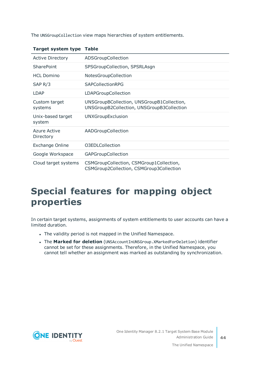The UNSGroupCollection view maps hierarchies of system entitlements.

| $1.41$ get by stem type     |                                                                                          |
|-----------------------------|------------------------------------------------------------------------------------------|
| <b>Active Directory</b>     | ADSGroupCollection                                                                       |
| <b>SharePoint</b>           | SPSGroupCollection, SPSRLAsgn                                                            |
| <b>HCL Domino</b>           | NotesGroupCollection                                                                     |
| SAP <sub>R</sub> /3         | <b>SAPCollectionRPG</b>                                                                  |
| <b>LDAP</b>                 | LDAPGroupCollection                                                                      |
| Custom target<br>systems    | UNSGroupBCollection, UNSGroupB1Collection,<br>UNSGroupB2Collection, UNSGroupB3Collection |
| Unix-based target<br>system | UNXGroupExclusion                                                                        |
| Azure Active<br>Directory   | AADGroupCollection                                                                       |
| Exchange Online             | O3EDLCollection                                                                          |
| Google Workspace            | <b>GAPGroupCollection</b>                                                                |
| Cloud target systems        | CSMGroupCollection, CSMGroup1Collection,<br>CSMGroup2Collection, CSMGroup3Collection     |

### **Target system type Table**

## <span id="page-43-0"></span>**Special features for mapping object properties**

In certain target systems, assignments of system entitlements to user accounts can have a limited duration.

- The validity period is not mapped in the Unified Namespace.
- <sup>l</sup> The **Marked for deletion** (UNSAccountInUNSGroup.XMarkedForDeletion) identifier cannot be set for these assignments. Therefore, in the Unified Namespace, you cannot tell whether an assignment was marked as outstanding by synchronization.

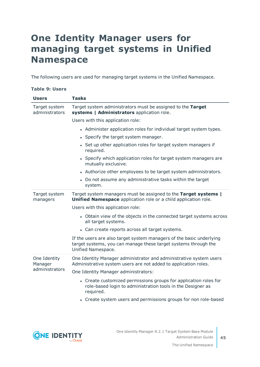## <span id="page-44-0"></span>**One Identity Manager users for managing target systems in Unified Namespace**

The following users are used for managing target systems in the Unified Namespace.

#### **Table 9: Users**

| <b>Users</b>                    | <b>Tasks</b>                                                                                                                                                  |  |  |  |  |
|---------------------------------|---------------------------------------------------------------------------------------------------------------------------------------------------------------|--|--|--|--|
| Target system<br>administrators | Target system administrators must be assigned to the Target<br>systems   Administrators application role.                                                     |  |  |  |  |
|                                 | Users with this application role:                                                                                                                             |  |  |  |  |
|                                 | • Administer application roles for individual target system types.                                                                                            |  |  |  |  |
|                                 | • Specify the target system manager.                                                                                                                          |  |  |  |  |
|                                 | Set up other application roles for target system managers if<br>required.                                                                                     |  |  |  |  |
|                                 | • Specify which application roles for target system managers are<br>mutually exclusive.                                                                       |  |  |  |  |
|                                 | • Authorize other employees to be target system administrators.                                                                                               |  |  |  |  |
|                                 | • Do not assume any administrative tasks within the target<br>system.                                                                                         |  |  |  |  |
| Target system<br>managers       | Target system managers must be assigned to the Target systems  <br>Unified Namespace application role or a child application role.                            |  |  |  |  |
|                                 | Users with this application role:                                                                                                                             |  |  |  |  |
|                                 | • Obtain view of the objects in the connected target systems across<br>all target systems.                                                                    |  |  |  |  |
|                                 | • Can create reports across all target systems.                                                                                                               |  |  |  |  |
|                                 | If the users are also target system managers of the basic underlying<br>target systems, you can manage these target systems through the<br>Unified Namespace. |  |  |  |  |
| One Identity<br>Manager         | One Identity Manager administrator and administrative system users<br>Administrative system users are not added to application roles.                         |  |  |  |  |
| administrators                  | One Identity Manager administrators:                                                                                                                          |  |  |  |  |
|                                 | • Create customized permissions groups for application roles for<br>role-based login to administration tools in the Designer as<br>required.                  |  |  |  |  |
|                                 | • Create system users and permissions groups for non role-based                                                                                               |  |  |  |  |

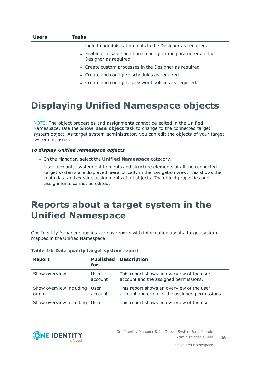| <b>Users</b> | Tasks                                                                                   |  |  |  |  |  |
|--------------|-----------------------------------------------------------------------------------------|--|--|--|--|--|
|              | login to administration tools in the Designer as required.                              |  |  |  |  |  |
|              | • Enable or disable additional configuration parameters in the<br>Designer as required. |  |  |  |  |  |
|              | • Create custom processes in the Designer as required.                                  |  |  |  |  |  |
|              | • Create and configure schedules as required.                                           |  |  |  |  |  |
|              | • Create and configure password policies as required.                                   |  |  |  |  |  |
|              |                                                                                         |  |  |  |  |  |

## <span id="page-45-0"></span>**Displaying Unified Namespace objects**

NOTE: The object properties and assignments cannot be edited in the Unified Namespace. Use the **Show base object** task to change to the connected target system object. As target system administrator, you can edit the objects of your target system as usual.

#### *To display Unified Namespace objects*

<sup>l</sup> In the Manager, select the **Unified Namespace** category.

User accounts, system entitlements and structure elements of all the connected target systems are displayed hierarchically in the navigation view. This shows the main data and existing assignments of all objects. The object properties and assignments cannot be edited.

## <span id="page-45-1"></span>**Reports about a target system in the Unified Namespace**

One Identity Manager supplies various reports with information about a target system mapped in the Unified Namespace.

| <b>Report</b>                     | <b>Published</b><br>for | <b>Description</b>                                                                           |
|-----------------------------------|-------------------------|----------------------------------------------------------------------------------------------|
| Show overview                     | User<br>account         | This report shows an overview of the user<br>account and the assigned permissions.           |
| Show overview including<br>origin | User<br>account         | This report shows an overview of the user<br>account and origin of the assigned permissions. |
| Show overview including           | User                    | This report shows an overview of the user                                                    |

#### **Table 10: Data quality target system report**

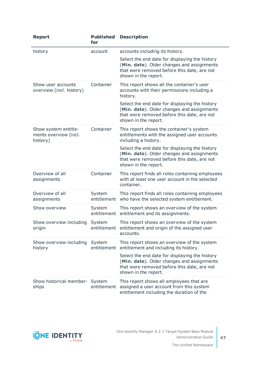| <b>Report</b>                                             | <b>Published</b><br>for | <b>Description</b>                                                                                                                                                  |
|-----------------------------------------------------------|-------------------------|---------------------------------------------------------------------------------------------------------------------------------------------------------------------|
| history                                                   | account                 | accounts including its history.                                                                                                                                     |
|                                                           |                         | Select the end date for displaying the history<br>(Min. date). Older changes and assignments<br>that were removed before this date, are not<br>shown in the report. |
| Show user accounts<br>overview (incl. history)            | Container               | This report shows all the container's user<br>accounts with their permissions including a<br>history.                                                               |
|                                                           |                         | Select the end date for displaying the history<br>(Min. date). Older changes and assignments<br>that were removed before this date, are not<br>shown in the report. |
| Show system entitle-<br>ments overview (incl.<br>history) | Container               | This report shows the container's system<br>entitlements with the assigned user accounts<br>including a history.                                                    |
|                                                           |                         | Select the end date for displaying the history<br>(Min. date). Older changes and assignments<br>that were removed before this date, are not<br>shown in the report. |
| Overview of all<br>assignments                            | Container               | This report finds all roles containing employees<br>with at least one user account in the selected<br>container.                                                    |
| Overview of all<br>assignments                            | System<br>entitlement   | This report finds all roles containing employees<br>who have the selected system entitlement.                                                                       |
| Show overview                                             | System                  | This report shows an overview of the system<br>entitlement entitlement and its assignments.                                                                         |
| Show overview including<br>origin                         | System<br>entitlement   | This report shows an overview of the system<br>entitlement and origin of the assigned user<br>accounts.                                                             |
| Show overview including<br>history                        | System<br>entitlement   | This report shows an overview of the system<br>entitlement and including its history.                                                                               |
|                                                           |                         | Select the end date for displaying the history<br>(Min. date). Older changes and assignments<br>that were removed before this date, are not<br>shown in the report. |
| Show historical member- System<br>ships                   | entitlement             | This report shows all employees that are<br>assigned a user account from this system<br>entitlement including the duration of the                                   |

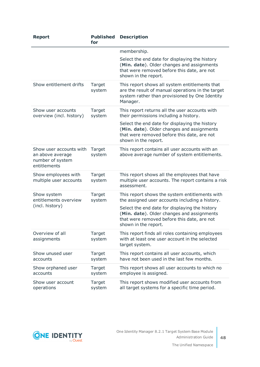| <b>Report</b>                                                                   | <b>Published</b><br>for | <b>Description</b>                                                                                                                                                                                                                                                       |  |
|---------------------------------------------------------------------------------|-------------------------|--------------------------------------------------------------------------------------------------------------------------------------------------------------------------------------------------------------------------------------------------------------------------|--|
|                                                                                 |                         | membership.                                                                                                                                                                                                                                                              |  |
|                                                                                 |                         | Select the end date for displaying the history<br>(Min. date). Older changes and assignments<br>that were removed before this date, are not<br>shown in the report.                                                                                                      |  |
| Show entitlement drifts                                                         | Target<br>system        | This report shows all system entitlements that<br>are the result of manual operations in the target<br>system rather than provisioned by One Identity<br>Manager.                                                                                                        |  |
| Show user accounts<br>overview (incl. history)                                  | Target<br>system        | This report returns all the user accounts with<br>their permissions including a history.                                                                                                                                                                                 |  |
|                                                                                 |                         | Select the end date for displaying the history<br>(Min. date). Older changes and assignments<br>that were removed before this date, are not<br>shown in the report.                                                                                                      |  |
| Show user accounts with<br>an above average<br>number of system<br>entitlements | Target<br>system        | This report contains all user accounts with an<br>above average number of system entitlements.                                                                                                                                                                           |  |
| Show employees with<br>multiple user accounts                                   | Target<br>system        | This report shows all the employees that have<br>multiple user accounts. The report contains a risk<br>assessment.                                                                                                                                                       |  |
| Show system<br>entitlements overview<br>(incl. history)                         | Target<br>system        | This report shows the system entitlements with<br>the assigned user accounts including a history.<br>Select the end date for displaying the history<br>(Min. date). Older changes and assignments<br>that were removed before this date, are not<br>shown in the report. |  |
| Overview of all<br>assignments                                                  | Target<br>system        | This report finds all roles containing employees<br>with at least one user account in the selected<br>target system.                                                                                                                                                     |  |
| Show unused user<br>accounts                                                    | Target<br>system        | This report contains all user accounts, which<br>have not been used in the last few months.                                                                                                                                                                              |  |
| Show orphaned user<br>accounts                                                  | Target<br>system        | This report shows all user accounts to which no<br>employee is assigned.                                                                                                                                                                                                 |  |
| Show user account<br>operations                                                 | Target<br>system        | This report shows modified user accounts from<br>all target systems for a specific time period.                                                                                                                                                                          |  |

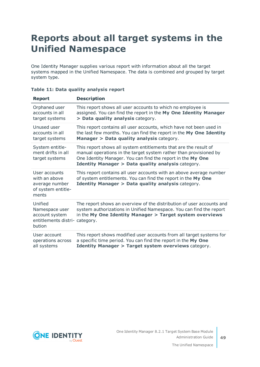## <span id="page-48-0"></span>**Reports about all target systems in the Unified Namespace**

One Identity Manager supplies various report with information about all the target systems mapped in the Unified Namespace. The data is combined and grouped by target system type.

| <b>Report</b>                                                                           | <b>Description</b>                                                                                                                                                                                                                                         |
|-----------------------------------------------------------------------------------------|------------------------------------------------------------------------------------------------------------------------------------------------------------------------------------------------------------------------------------------------------------|
| Orphaned user<br>accounts in all<br>target systems                                      | This report shows all user accounts to which no employee is<br>assigned. You can find the report in the My One Identity Manager<br>> Data quality analysis category.                                                                                       |
| Unused user<br>accounts in all<br>target systems                                        | This report contains all user accounts, which have not been used in<br>the last few months. You can find the report in the My One Identity<br>Manager > Data quality analysis category.                                                                    |
| System entitle-<br>ment drifts in all<br>target systems                                 | This report shows all system entitlements that are the result of<br>manual operations in the target system rather than provisioned by<br>One Identity Manager. You can find the report in the My One<br>Identity Manager > Data quality analysis category. |
| User accounts<br>with an above<br>average number<br>of system entitle-<br>ments         | This report contains all user accounts with an above average number<br>of system entitlements. You can find the report in the My One<br><b>Identity Manager &gt; Data quality analysis category.</b>                                                       |
| Unified<br>Namespace user<br>account system<br>entitlements distri- category.<br>bution | The report shows an overview of the distribution of user accounts and<br>system authorizations in Unified Namespace. You can find the report<br>in the My One Identity Manager > Target system overviews                                                   |
| User account<br>operations across<br>all systems                                        | This report shows modified user accounts from all target systems for<br>a specific time period. You can find the report in the My One<br><b>Identity Manager &gt; Target system overviews category.</b>                                                    |

|  |  |  |  | Table 11: Data quality analysis report |  |
|--|--|--|--|----------------------------------------|--|
|--|--|--|--|----------------------------------------|--|

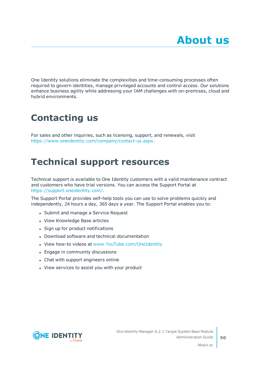<span id="page-49-0"></span>One Identity solutions eliminate the complexities and time-consuming processes often required to govern identities, manage privileged accounts and control access. Our solutions enhance business agility while addressing your IAM challenges with on-premises, cloud and hybrid environments.

## <span id="page-49-1"></span>**Contacting us**

For sales and other inquiries, such as licensing, support, and renewals, visit <https://www.oneidentity.com/company/contact-us.aspx>.

## <span id="page-49-2"></span>**Technical support resources**

Technical support is available to One Identity customers with a valid maintenance contract and customers who have trial versions. You can access the Support Portal at [https://support.oneidentity.com/.](https://support.oneidentity.com/)

The Support Portal provides self-help tools you can use to solve problems quickly and independently, 24 hours a day, 365 days a year. The Support Portal enables you to:

- Submit and manage a Service Request
- View Knowledge Base articles
- Sign up for product notifications
- Download software and technical documentation
- View how-to videos at [www.YouTube.com/OneIdentity](http://www.youtube.com/OneIdentity)
- Engage in community discussions
- Chat with support engineers online
- View services to assist you with your product

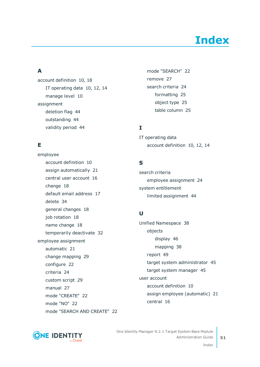# **Index**

### <span id="page-50-0"></span>**A**

account definition [10](#page-9-0), [18](#page-17-1) IT operating data [10,](#page-9-1) [12](#page-11-1), [14](#page-13-0) manage level [10](#page-9-1) assignment deletion flag [44](#page-43-0) outstanding [44](#page-43-0) validity period [44](#page-43-0)

### **E**

employee account definition [10](#page-9-1) assign automatically [21](#page-20-0) central user account [16](#page-15-0) change [18](#page-17-0) default email address [17](#page-16-0) delete [34](#page-33-0) general changes [18](#page-17-0) job rotation [18](#page-17-0) name change [18](#page-17-0) temporarily deactivate [32](#page-31-0) employee assignment automatic [21](#page-20-0) change mapping [29](#page-28-0) configure [22](#page-21-0) criteria [24](#page-23-0) custom script [29](#page-28-0) manual [27](#page-26-0) mode "CREATE" [22](#page-21-0) mode "NO" [22](#page-21-0) mode "SEARCH AND CREATE" [22](#page-21-0) mode "SEARCH" [22](#page-21-0) remove [27](#page-26-0) search criteria [24](#page-23-0) formatting [25](#page-24-0) object type [25](#page-24-0) table column [25](#page-24-0)

### **I**

IT operating data account definition [10](#page-9-1), [12](#page-11-1), [14](#page-13-0)

### **S**

search criteria employee assignment [24](#page-23-0) system entitlement limited assignment [44](#page-43-0)

### **U**

Unified Namespace [38](#page-37-0) objects display [46](#page-45-0) mapping [38](#page-37-1) report [49](#page-48-0) target system administrator [45](#page-44-0) target system manager [45](#page-44-0) user account account definition [10](#page-9-1) assign employee (automatic) [21](#page-20-0) central [16](#page-15-0)